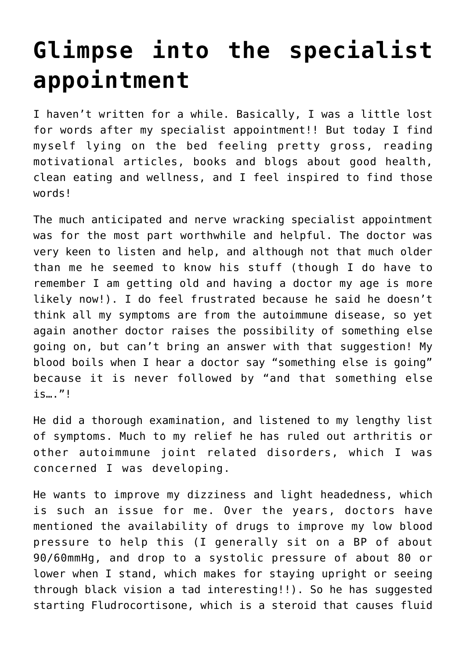## **[Glimpse into the specialist](https://www.glimpsinggembles.com/2013/02/12/glimpse-into-the-specialist-appointment/) [appointment](https://www.glimpsinggembles.com/2013/02/12/glimpse-into-the-specialist-appointment/)**

I haven't written for a while. Basically, I was a little lost for words after my specialist appointment!! But today I find myself lying on the bed feeling pretty gross, reading motivational articles, books and blogs about good health, clean eating and wellness, and I feel inspired to find those words!

The much anticipated and nerve wracking specialist appointment was for the most part worthwhile and helpful. The doctor was very keen to listen and help, and although not that much older than me he seemed to know his stuff (though I do have to remember I am getting old and having a doctor my age is more likely now!). I do feel frustrated because he said he doesn't think all my symptoms are from the autoimmune disease, so yet again another doctor raises the possibility of something else going on, but can't bring an answer with that suggestion! My blood boils when I hear a doctor say "something else is going" because it is never followed by "and that something else is…."!

He did a thorough examination, and listened to my lengthy list of symptoms. Much to my relief he has ruled out arthritis or other autoimmune joint related disorders, which I was concerned I was developing.

He wants to improve my dizziness and light headedness, which is such an issue for me. Over the years, doctors have mentioned the availability of drugs to improve my low blood pressure to help this (I generally sit on a BP of about 90/60mmHg, and drop to a systolic pressure of about 80 or lower when I stand, which makes for staying upright or seeing through black vision a tad interesting!!). So he has suggested starting Fludrocortisone, which is a steroid that causes fluid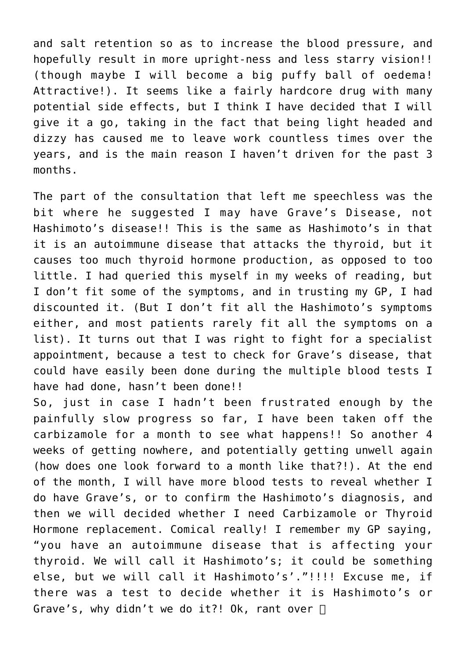and salt retention so as to increase the blood pressure, and hopefully result in more upright-ness and less starry vision!! (though maybe I will become a big puffy ball of oedema! Attractive!). It seems like a fairly hardcore drug with many potential side effects, but I think I have decided that I will give it a go, taking in the fact that being light headed and dizzy has caused me to leave work countless times over the years, and is the main reason I haven't driven for the past 3 months.

The part of the consultation that left me speechless was the bit where he suggested I may have Grave's Disease, not Hashimoto's disease!! This is the same as Hashimoto's in that it is an autoimmune disease that attacks the thyroid, but it causes too much thyroid hormone production, as opposed to too little. I had queried this myself in my weeks of reading, but I don't fit some of the symptoms, and in trusting my GP, I had discounted it. (But I don't fit all the Hashimoto's symptoms either, and most patients rarely fit all the symptoms on a list). It turns out that I was right to fight for a specialist appointment, because a test to check for Grave's disease, that could have easily been done during the multiple blood tests I have had done, hasn't been done!!

So, just in case I hadn't been frustrated enough by the painfully slow progress so far, I have been taken off the carbizamole for a month to see what happens!! So another 4 weeks of getting nowhere, and potentially getting unwell again (how does one look forward to a month like that?!). At the end of the month, I will have more blood tests to reveal whether I do have Grave's, or to confirm the Hashimoto's diagnosis, and then we will decided whether I need Carbizamole or Thyroid Hormone replacement. Comical really! I remember my GP saying, "you have an autoimmune disease that is affecting your thyroid. We will call it Hashimoto's; it could be something else, but we will call it Hashimoto's'."!!!! Excuse me, if there was a test to decide whether it is Hashimoto's or Grave's, why didn't we do it?! Ok, rant over  $\Box$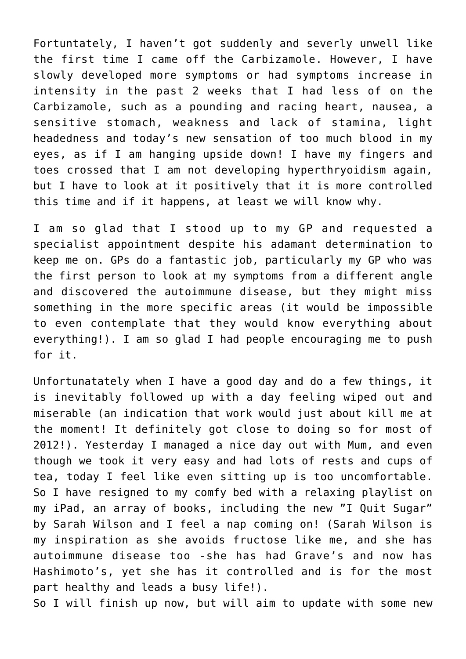Fortuntately, I haven't got suddenly and severly unwell like the first time I came off the Carbizamole. However, I have slowly developed more symptoms or had symptoms increase in intensity in the past 2 weeks that I had less of on the Carbizamole, such as a pounding and racing heart, nausea, a sensitive stomach, weakness and lack of stamina, light headedness and today's new sensation of too much blood in my eyes, as if I am hanging upside down! I have my fingers and toes crossed that I am not developing hyperthryoidism again, but I have to look at it positively that it is more controlled this time and if it happens, at least we will know why.

I am so glad that I stood up to my GP and requested a specialist appointment despite his adamant determination to keep me on. GPs do a fantastic job, particularly my GP who was the first person to look at my symptoms from a different angle and discovered the autoimmune disease, but they might miss something in the more specific areas (it would be impossible to even contemplate that they would know everything about everything!). I am so glad I had people encouraging me to push for it.

Unfortunatately when I have a good day and do a few things, it is inevitably followed up with a day feeling wiped out and miserable (an indication that work would just about kill me at the moment! It definitely got close to doing so for most of 2012!). Yesterday I managed a nice day out with Mum, and even though we took it very easy and had lots of rests and cups of tea, today I feel like even sitting up is too uncomfortable. So I have resigned to my comfy bed with a relaxing playlist on my iPad, an array of books, including the new "I Quit Sugar" by Sarah Wilson and I feel a nap coming on! (Sarah Wilson is my inspiration as she avoids fructose like me, and she has autoimmune disease too -she has had Grave's and now has Hashimoto's, yet she has it controlled and is for the most part healthy and leads a busy life!).

So I will finish up now, but will aim to update with some new